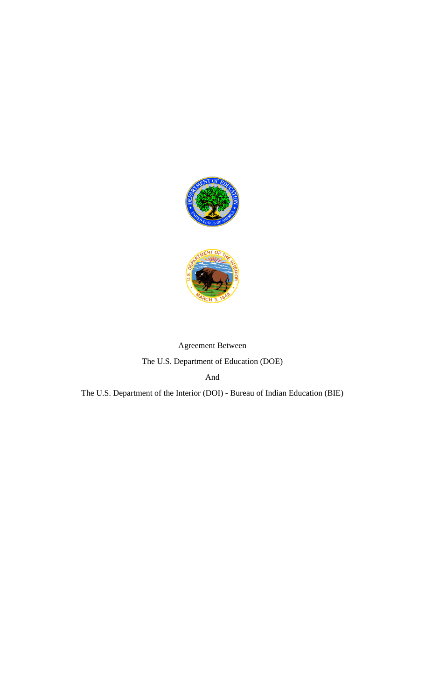

# Agreement Between The U.S. Department of Education (DOE)

And

The U.S. Department of the Interior (DOI) - Bureau of Indian Education (BIE)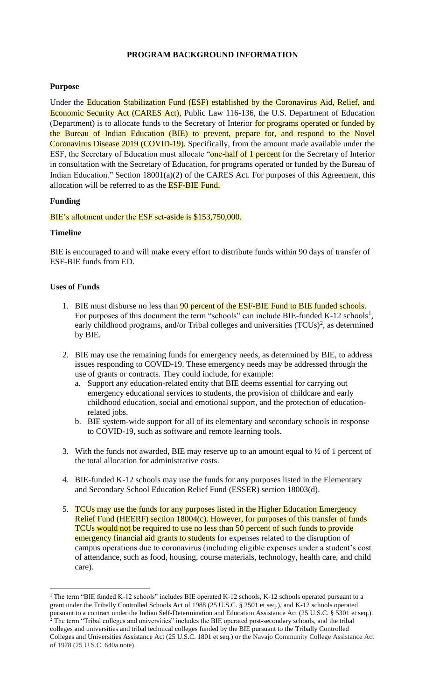# **PROGRAM BACKGROUND INFORMATION**

#### **Purpose**

Under the Education Stabilization Fund (ESF) established by the Coronavirus Aid, Relief, and Economic Security Act (CARES Act), Public Law 116-136, the U.S. Department of Education (Department) is to allocate funds to the Secretary of Interior for programs operated or funded by the Bureau of Indian Education (BIE) to prevent, prepare for, and respond to the Novel Coronavirus Disease 2019 (COVID-19). Specifically, from the amount made available under the ESF, the Secretary of Education must allocate "one-half of 1 percent for the Secretary of Interior in consultation with the Secretary of Education, for programs operated or funded by the Bureau of Indian Education." Section  $18001(a)(2)$  of the CARES Act. For purposes of this Agreement, this allocation will be referred to as the ESF-BIE Fund.

#### **Funding**

#### BIE's allotment under the ESF set-aside is \$153,750,000.

#### **Timeline**

BIE is encouraged to and will make every effort to distribute funds within 90 days of transfer of ESF-BIE funds from ED.

#### **Uses of Funds**

- 1. BIE must disburse no less than 90 percent of the ESF-BIE Fund to BIE funded schools. For purposes of this document the term "schools" can include BIE-funded K-12 schools<sup>1</sup>, early childhood programs, and/or Tribal colleges and universities  $(TCUs)^2$ , as determined by BIE.
- 2. BIE may use the remaining funds for emergency needs, as determined by BIE, to address issues responding to COVID-19. These emergency needs may be addressed through the use of grants or contracts. They could include, for example:
	- a. Support any education-related entity that BIE deems essential for carrying out emergency educational services to students, the provision of childcare and early childhood education, social and emotional support, and the protection of educationrelated jobs.
	- b. BIE system-wide support for all of its elementary and secondary schools in response to COVID-19, such as software and remote learning tools.
- 3. With the funds not awarded, BIE may reserve up to an amount equal to  $\frac{1}{2}$  of 1 percent of the total allocation for administrative costs.
- 4. BIE-funded K-12 schools may use the funds for any purposes listed in the Elementary and Secondary School Education Relief Fund (ESSER) section 18003(d).
- 5. TCUs may use the funds for any purposes listed in the Higher Education Emergency Relief Fund (HEERF) section 18004(c). However, for purposes of this transfer of funds TCUs would not be required to use no less than 50 percent of such funds to provide emergency financial aid grants to students for expenses related to the disruption of campus operations due to coronavirus (including eligible expenses under a student's cost of attendance, such as food, housing, course materials, technology, health care, and child care).

<sup>&</sup>lt;sup>1</sup> The term "BIE funded K-12 schools" includes BIE operated K-12 schools, K-12 schools operated pursuant to a grant under the Tribally Controlled Schools Act of 1988 (25 U.S.C. § 2501 et seq.), and K-12 schools operated pursuant to a contract under the Indian Self-Determination and Education Assistance Act (25 U.S.C. § 5301 et seq.). <sup>2</sup> The term "Tribal colleges and universities" includes the BIE operated post-secondary schools, and the tribal colleges and universities and tribal technical colleges funded by the BIE pursuant to the Tribally Controlled Colleges and Universities Assistance Act (25 U.S.C. 1801 et seq.) or the Navajo Community College Assistance Act of 1978 (25 U.S.C. 640a note).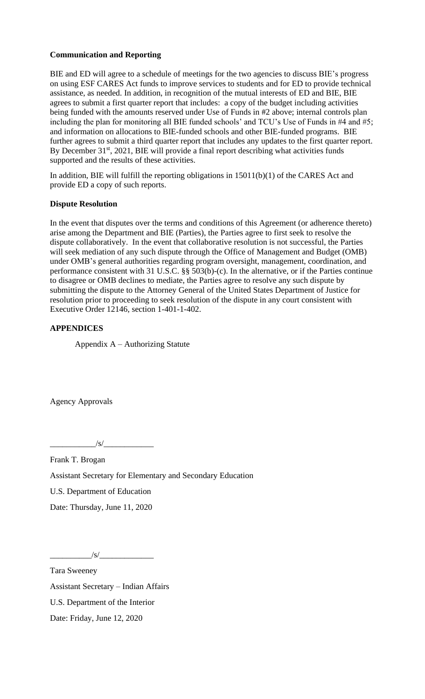# **Communication and Reporting**

BIE and ED will agree to a schedule of meetings for the two agencies to discuss BIE's progress on using ESF CARES Act funds to improve services to students and for ED to provide technical assistance, as needed. In addition, in recognition of the mutual interests of ED and BIE, BIE agrees to submit a first quarter report that includes: a copy of the budget including activities being funded with the amounts reserved under Use of Funds in #2 above; internal controls plan including the plan for monitoring all BIE funded schools' and TCU's Use of Funds in #4 and #5; and information on allocations to BIE-funded schools and other BIE-funded programs. BIE further agrees to submit a third quarter report that includes any updates to the first quarter report. By December  $31<sup>st</sup>$ ,  $2021$ , BIE will provide a final report describing what activities funds supported and the results of these activities.

In addition, BIE will fulfill the reporting obligations in 15011(b)(1) of the CARES Act and provide ED a copy of such reports.

#### **Dispute Resolution**

In the event that disputes over the terms and conditions of this Agreement (or adherence thereto) arise among the Department and BIE (Parties), the Parties agree to first seek to resolve the dispute collaboratively. In the event that collaborative resolution is not successful, the Parties will seek mediation of any such dispute through the Office of Management and Budget (OMB) under OMB's general authorities regarding program oversight, management, coordination, and performance consistent with 31 U.S.C. §§ 503(b)-(c). In the alternative, or if the Parties continue to disagree or OMB declines to mediate, the Parties agree to resolve any such dispute by submitting the dispute to the Attorney General of the United States Department of Justice for resolution prior to proceeding to seek resolution of the dispute in any court consistent with Executive Order 12146, section 1-401-1-402.

# **APPENDICES**

Appendix A – Authorizing Statute

Agency Approvals

 $\frac{|S|}{|S|}$ 

Frank T. Brogan Assistant Secretary for Elementary and Secondary Education U.S. Department of Education

Date: Thursday, June 11, 2020

 $\frac{|s|}{\sqrt{2}}$ 

Tara Sweeney Assistant Secretary – Indian Affairs U.S. Department of the Interior Date: Friday, June 12, 2020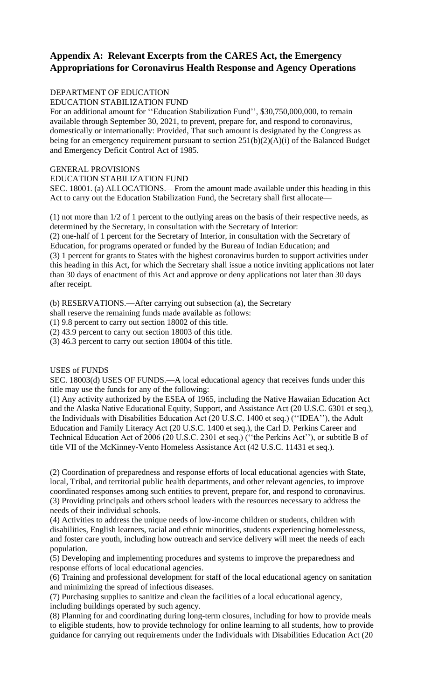# **Appendix A: Relevant Excerpts from the CARES Act, the Emergency Appropriations for Coronavirus Health Response and Agency Operations**

# DEPARTMENT OF EDUCATION

EDUCATION STABILIZATION FUND

For an additional amount for ''Education Stabilization Fund'', \$30,750,000,000, to remain available through September 30, 2021, to prevent, prepare for, and respond to coronavirus, domestically or internationally: Provided, That such amount is designated by the Congress as being for an emergency requirement pursuant to section  $251(b)(2)(A)(i)$  of the Balanced Budget and Emergency Deficit Control Act of 1985.

#### GENERAL PROVISIONS

EDUCATION STABILIZATION FUND

SEC. 18001. (a) ALLOCATIONS.—From the amount made available under this heading in this Act to carry out the Education Stabilization Fund, the Secretary shall first allocate—

(1) not more than 1/2 of 1 percent to the outlying areas on the basis of their respective needs, as determined by the Secretary, in consultation with the Secretary of Interior:

(2) one-half of 1 percent for the Secretary of Interior, in consultation with the Secretary of Education, for programs operated or funded by the Bureau of Indian Education; and (3) 1 percent for grants to States with the highest coronavirus burden to support activities under this heading in this Act, for which the Secretary shall issue a notice inviting applications not later

than 30 days of enactment of this Act and approve or deny applications not later than 30 days after receipt.

(b) RESERVATIONS.—After carrying out subsection (a), the Secretary

shall reserve the remaining funds made available as follows:

(1) 9.8 percent to carry out section 18002 of this title.

(2) 43.9 percent to carry out section 18003 of this title.

(3) 46.3 percent to carry out section 18004 of this title.

#### USES of FUNDS

SEC. 18003(d) USES OF FUNDS.—A local educational agency that receives funds under this title may use the funds for any of the following:

(1) Any activity authorized by the ESEA of 1965, including the Native Hawaiian Education Act and the Alaska Native Educational Equity, Support, and Assistance Act (20 U.S.C. 6301 et seq.), the Individuals with Disabilities Education Act (20 U.S.C. 1400 et seq.) (''IDEA''), the Adult Education and Family Literacy Act (20 U.S.C. 1400 et seq.), the Carl D. Perkins Career and Technical Education Act of 2006 (20 U.S.C. 2301 et seq.) (''the Perkins Act''), or subtitle B of title VII of the McKinney-Vento Homeless Assistance Act (42 U.S.C. 11431 et seq.).

(2) Coordination of preparedness and response efforts of local educational agencies with State, local, Tribal, and territorial public health departments, and other relevant agencies, to improve coordinated responses among such entities to prevent, prepare for, and respond to coronavirus. (3) Providing principals and others school leaders with the resources necessary to address the needs of their individual schools.

(4) Activities to address the unique needs of low-income children or students, children with disabilities, English learners, racial and ethnic minorities, students experiencing homelessness, and foster care youth, including how outreach and service delivery will meet the needs of each population.

(5) Developing and implementing procedures and systems to improve the preparedness and response efforts of local educational agencies.

(6) Training and professional development for staff of the local educational agency on sanitation and minimizing the spread of infectious diseases.

(7) Purchasing supplies to sanitize and clean the facilities of a local educational agency, including buildings operated by such agency.

(8) Planning for and coordinating during long-term closures, including for how to provide meals to eligible students, how to provide technology for online learning to all students, how to provide guidance for carrying out requirements under the Individuals with Disabilities Education Act (20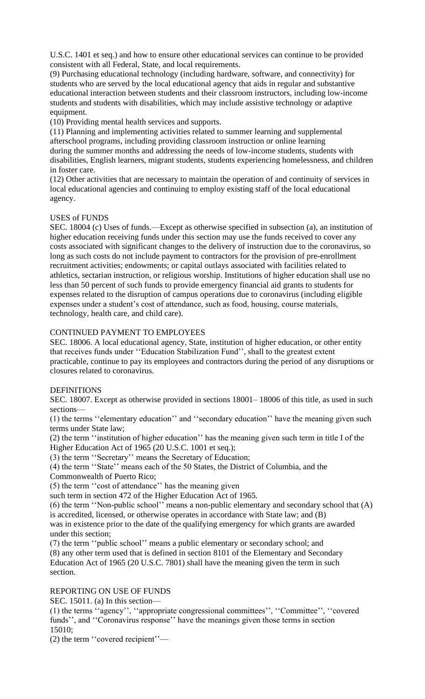U.S.C. 1401 et seq.) and how to ensure other educational services can continue to be provided consistent with all Federal, State, and local requirements.

(9) Purchasing educational technology (including hardware, software, and connectivity) for students who are served by the local educational agency that aids in regular and substantive educational interaction between students and their classroom instructors, including low-income students and students with disabilities, which may include assistive technology or adaptive equipment.

(10) Providing mental health services and supports.

(11) Planning and implementing activities related to summer learning and supplemental afterschool programs, including providing classroom instruction or online learning during the summer months and addressing the needs of low-income students, students with disabilities, English learners, migrant students, students experiencing homelessness, and children in foster care.

(12) Other activities that are necessary to maintain the operation of and continuity of services in local educational agencies and continuing to employ existing staff of the local educational agency.

#### USES of FUNDS

SEC. 18004 (c) Uses of funds.—Except as otherwise specified in subsection (a), an institution of higher education receiving funds under this section may use the funds received to cover any costs associated with significant changes to the delivery of instruction due to the coronavirus, so long as such costs do not include payment to contractors for the provision of pre-enrollment recruitment activities; endowments; or capital outlays associated with facilities related to athletics, sectarian instruction, or religious worship. Institutions of higher education shall use no less than 50 percent of such funds to provide emergency financial aid grants to students for expenses related to the disruption of campus operations due to coronavirus (including eligible expenses under a student's cost of attendance, such as food, housing, course materials, technology, health care, and child care).

#### CONTINUED PAYMENT TO EMPLOYEES

SEC. 18006. A local educational agency, State, institution of higher education, or other entity that receives funds under ''Education Stabilization Fund'', shall to the greatest extent practicable, continue to pay its employees and contractors during the period of any disruptions or closures related to coronavirus.

#### **DEFINITIONS**

SEC. 18007. Except as otherwise provided in sections 18001– 18006 of this title, as used in such sections—

(1) the terms ''elementary education'' and ''secondary education'' have the meaning given such terms under State law;

(2) the term ''institution of higher education'' has the meaning given such term in title I of the Higher Education Act of 1965 (20 U.S.C. 1001 et seq.);

(3) the term ''Secretary'' means the Secretary of Education;

(4) the term ''State'' means each of the 50 States, the District of Columbia, and the Commonwealth of Puerto Rico;

(5) the term ''cost of attendance'' has the meaning given

such term in section 472 of the Higher Education Act of 1965.

(6) the term ''Non-public school'' means a non-public elementary and secondary school that (A) is accredited, licensed, or otherwise operates in accordance with State law; and (B)

was in existence prior to the date of the qualifying emergency for which grants are awarded under this section;

(7) the term ''public school'' means a public elementary or secondary school; and (8) any other term used that is defined in section 8101 of the Elementary and Secondary Education Act of 1965 (20 U.S.C. 7801) shall have the meaning given the term in such section.

## REPORTING ON USE OF FUNDS

SEC. 15011. (a) In this section—

(1) the terms ''agency'', ''appropriate congressional committees'', ''Committee'', ''covered funds'', and ''Coronavirus response'' have the meanings given those terms in section 15010;

(2) the term ''covered recipient''—